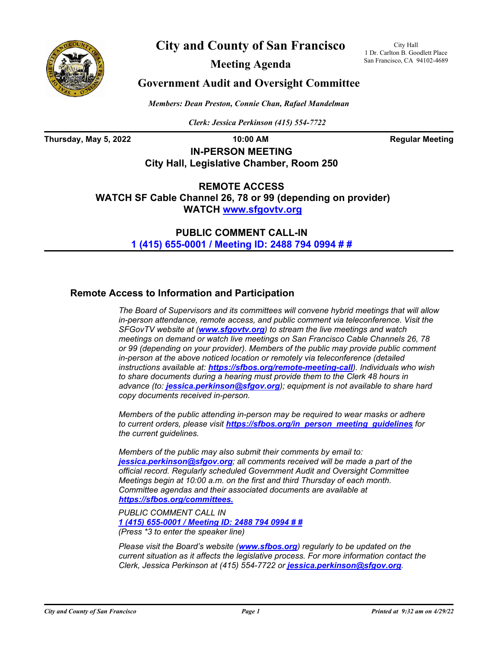

**City and County of San Francisco**

City Hall 1 Dr. Carlton B. Goodlett Place San Francisco, CA 94102-4689

**Meeting Agenda**

## **Government Audit and Oversight Committee**

*Members: Dean Preston, Connie Chan, Rafael Mandelman*

*Clerk: Jessica Perkinson (415) 554-7722*

**Thursday, May 5, 2022 10:00 AM Regular Meeting**

**IN-PERSON MEETING City Hall, Legislative Chamber, Room 250**

**REMOTE ACCESS WATCH SF Cable Channel 26, 78 or 99 (depending on provider) WATCH<www.sfgovtv.org>**

> **PUBLIC COMMENT CALL-IN [1 \(415\) 655-0001 / Meeting ID: 2488 794 0994 # #](tel:+14156550001,,24887940994#,,#)**

### **Remote Access to Information and Participation**

*The Board of Supervisors and its committees will convene hybrid meetings that will allow in-person attendance, remote access, and public comment via teleconference. Visit the SFGovTV website at (<www.sfgovtv.org>) to stream the live meetings and watch meetings on demand or watch live meetings on San Francisco Cable Channels 26, 78 or 99 (depending on your provider). Members of the public may provide public comment in-person at the above noticed location or remotely via teleconference (detailed instructions available at: <https://sfbos.org/remote-meeting-call>). Individuals who wish to share documents during a hearing must provide them to the Clerk 48 hours in advance (to: [jessica.perkinson@sfgov.org](mailto:jessica.perkinson@sfgov.org)); equipment is not available to share hard copy documents received in-person.*

*Members of the public attending in-person may be required to wear masks or adhere to current orders, please visit [https://sfbos.org/in\\_person\\_meeting\\_guidelines](https://sfbos.org/in_person_meeting_guidelines) for the current guidelines.*

*Members of the public may also submit their comments by email to: [jessica.perkinson@sfgov.org](mailto:jessica.perkinson@sfgov.org); all comments received will be made a part of the official record. Regularly scheduled Government Audit and Oversight Committee Meetings begin at 10:00 a.m. on the first and third Thursday of each month. Committee agendas and their associated documents are available at [https://sfbos.org/committees.](https://sfbos.org/committees)*

*PUBLIC COMMENT CALL IN [1 \(415\) 655-0001 / Meeting ID: 2488 794 0994 # #](tel:+14156550001,,24887940994#,,#) (Press \*3 to enter the speaker line)*

*Please visit the Board's website ([www.sfbos.org](www.sfbos.org))) regularly to be updated on the current situation as it affects the legislative process. For more information contact the Clerk, Jessica Perkinson at (415) 554-7722 or [jessica.perkinson@sfgov.org](mailto:jessica.perkinson@sfgov.org).*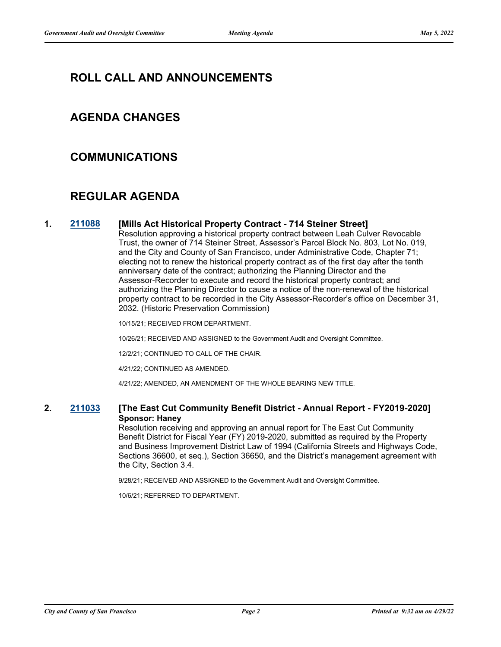# **ROLL CALL AND ANNOUNCEMENTS**

## **AGENDA CHANGES**

### **COMMUNICATIONS**

# **REGULAR AGENDA**

#### **1. [211088](http://sfgov.legistar.com/gateway.aspx?m=l&id=37958) [Mills Act Historical Property Contract - 714 Steiner Street]**

Resolution approving a historical property contract between Leah Culver Revocable Trust, the owner of 714 Steiner Street, Assessor's Parcel Block No. 803, Lot No. 019, and the City and County of San Francisco, under Administrative Code, Chapter 71; electing not to renew the historical property contract as of the first day after the tenth anniversary date of the contract; authorizing the Planning Director and the Assessor-Recorder to execute and record the historical property contract; and authorizing the Planning Director to cause a notice of the non-renewal of the historical property contract to be recorded in the City Assessor-Recorder's office on December 31, 2032. (Historic Preservation Commission)

10/15/21; RECEIVED FROM DEPARTMENT.

10/26/21; RECEIVED AND ASSIGNED to the Government Audit and Oversight Committee.

12/2/21; CONTINUED TO CALL OF THE CHAIR.

4/21/22; CONTINUED AS AMENDED.

4/21/22; AMENDED, AN AMENDMENT OF THE WHOLE BEARING NEW TITLE.

#### **2. [211033](http://sfgov.legistar.com/gateway.aspx?m=l&id=37903) [The East Cut Community Benefit District - Annual Report - FY2019-2020] Sponsor: Haney**

Resolution receiving and approving an annual report for The East Cut Community Benefit District for Fiscal Year (FY) 2019-2020, submitted as required by the Property and Business Improvement District Law of 1994 (California Streets and Highways Code, Sections 36600, et seq.), Section 36650, and the District's management agreement with the City, Section 3.4.

9/28/21; RECEIVED AND ASSIGNED to the Government Audit and Oversight Committee.

10/6/21; REFERRED TO DEPARTMENT.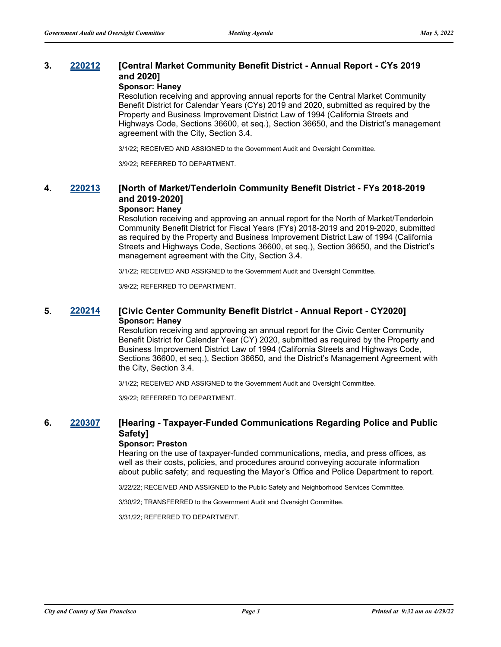### **3. [220212](http://sfgov.legistar.com/gateway.aspx?m=l&id=38407) [Central Market Community Benefit District - Annual Report - CYs 2019 and 2020]**

#### **Sponsor: Haney**

Resolution receiving and approving annual reports for the Central Market Community Benefit District for Calendar Years (CYs) 2019 and 2020, submitted as required by the Property and Business Improvement District Law of 1994 (California Streets and Highways Code, Sections 36600, et seq.), Section 36650, and the District's management agreement with the City, Section 3.4.

3/1/22; RECEIVED AND ASSIGNED to the Government Audit and Oversight Committee.

3/9/22; REFERRED TO DEPARTMENT.

## **4. [220213](http://sfgov.legistar.com/gateway.aspx?m=l&id=38408) [North of Market/Tenderloin Community Benefit District - FYs 2018-2019 and 2019-2020]**

### **Sponsor: Haney**

Resolution receiving and approving an annual report for the North of Market/Tenderloin Community Benefit District for Fiscal Years (FYs) 2018-2019 and 2019-2020, submitted as required by the Property and Business Improvement District Law of 1994 (California Streets and Highways Code, Sections 36600, et seq.), Section 36650, and the District's management agreement with the City, Section 3.4.

3/1/22; RECEIVED AND ASSIGNED to the Government Audit and Oversight Committee.

3/9/22; REFERRED TO DEPARTMENT.

#### **5. [220214](http://sfgov.legistar.com/gateway.aspx?m=l&id=38409) [Civic Center Community Benefit District - Annual Report - CY2020] Sponsor: Haney**

Resolution receiving and approving an annual report for the Civic Center Community Benefit District for Calendar Year (CY) 2020, submitted as required by the Property and Business Improvement District Law of 1994 (California Streets and Highways Code, Sections 36600, et seq.), Section 36650, and the District's Management Agreement with the City, Section 3.4.

3/1/22; RECEIVED AND ASSIGNED to the Government Audit and Oversight Committee.

3/9/22; REFERRED TO DEPARTMENT.

### **6. [220307](http://sfgov.legistar.com/gateway.aspx?m=l&id=38499) [Hearing - Taxpayer-Funded Communications Regarding Police and Public Safety]**

#### **Sponsor: Preston**

Hearing on the use of taxpayer-funded communications, media, and press offices, as well as their costs, policies, and procedures around conveying accurate information about public safety; and requesting the Mayor's Office and Police Department to report.

3/22/22; RECEIVED AND ASSIGNED to the Public Safety and Neighborhood Services Committee.

3/30/22; TRANSFERRED to the Government Audit and Oversight Committee.

3/31/22; REFERRED TO DEPARTMENT.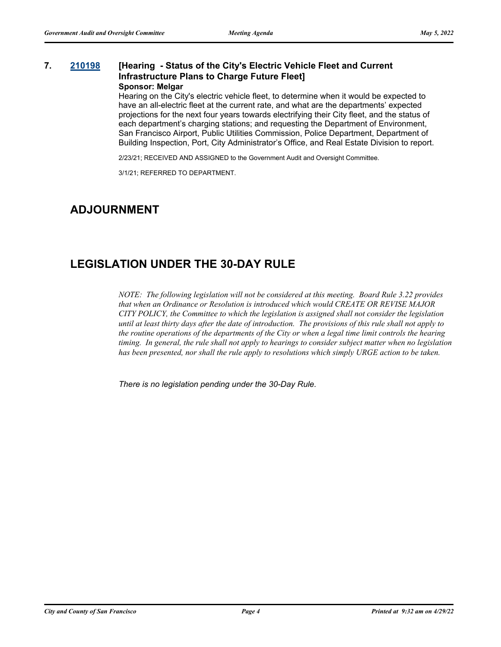#### **7. [210198](http://sfgov.legistar.com/gateway.aspx?m=l&id=37068) [Hearing - Status of the City's Electric Vehicle Fleet and Current Infrastructure Plans to Charge Future Fleet] Sponsor: Melgar**

Hearing on the City's electric vehicle fleet, to determine when it would be expected to have an all-electric fleet at the current rate, and what are the departments' expected projections for the next four years towards electrifying their City fleet, and the status of each department's charging stations; and requesting the Department of Environment, San Francisco Airport, Public Utilities Commission, Police Department, Department of Building Inspection, Port, City Administrator's Office, and Real Estate Division to report.

2/23/21; RECEIVED AND ASSIGNED to the Government Audit and Oversight Committee.

3/1/21; REFERRED TO DEPARTMENT.

### **ADJOURNMENT**

## **LEGISLATION UNDER THE 30-DAY RULE**

*NOTE: The following legislation will not be considered at this meeting. Board Rule 3.22 provides that when an Ordinance or Resolution is introduced which would CREATE OR REVISE MAJOR CITY POLICY, the Committee to which the legislation is assigned shall not consider the legislation until at least thirty days after the date of introduction. The provisions of this rule shall not apply to the routine operations of the departments of the City or when a legal time limit controls the hearing timing. In general, the rule shall not apply to hearings to consider subject matter when no legislation has been presented, nor shall the rule apply to resolutions which simply URGE action to be taken.*

*There is no legislation pending under the 30-Day Rule.*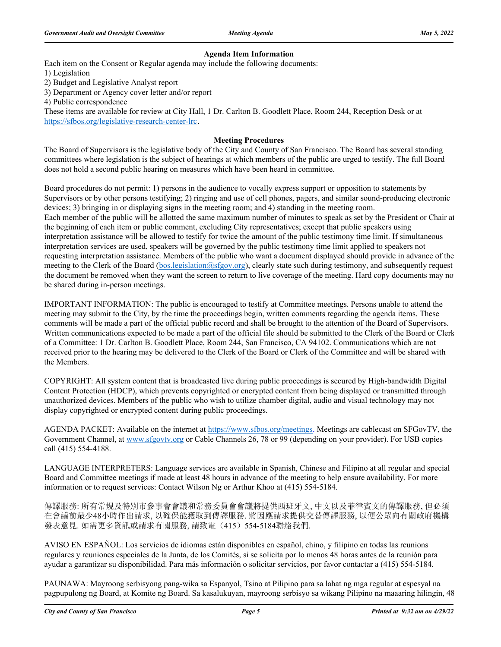#### **Agenda Item Information**

Each item on the Consent or Regular agenda may include the following documents:

1) Legislation

2) Budget and Legislative Analyst report

3) Department or Agency cover letter and/or report

4) Public correspondence

These items are available for review at City Hall, 1 Dr. Carlton B. Goodlett Place, Room 244, Reception Desk or at https://sfbos.org/legislative-research-center-lrc.

#### **Meeting Procedures**

The Board of Supervisors is the legislative body of the City and County of San Francisco. The Board has several standing committees where legislation is the subject of hearings at which members of the public are urged to testify. The full Board does not hold a second public hearing on measures which have been heard in committee.

Board procedures do not permit: 1) persons in the audience to vocally express support or opposition to statements by Supervisors or by other persons testifying; 2) ringing and use of cell phones, pagers, and similar sound-producing electronic devices; 3) bringing in or displaying signs in the meeting room; and 4) standing in the meeting room. Each member of the public will be allotted the same maximum number of minutes to speak as set by the President or Chair at the beginning of each item or public comment, excluding City representatives; except that public speakers using interpretation assistance will be allowed to testify for twice the amount of the public testimony time limit. If simultaneous interpretation services are used, speakers will be governed by the public testimony time limit applied to speakers not requesting interpretation assistance. Members of the public who want a document displayed should provide in advance of the meeting to the Clerk of the Board (bos.legislation@sfgov.org), clearly state such during testimony, and subsequently request the document be removed when they want the screen to return to live coverage of the meeting. Hard copy documents may no be shared during in-person meetings.

IMPORTANT INFORMATION: The public is encouraged to testify at Committee meetings. Persons unable to attend the meeting may submit to the City, by the time the proceedings begin, written comments regarding the agenda items. These comments will be made a part of the official public record and shall be brought to the attention of the Board of Supervisors. Written communications expected to be made a part of the official file should be submitted to the Clerk of the Board or Clerk of a Committee: 1 Dr. Carlton B. Goodlett Place, Room 244, San Francisco, CA 94102. Communications which are not received prior to the hearing may be delivered to the Clerk of the Board or Clerk of the Committee and will be shared with the Members.

COPYRIGHT: All system content that is broadcasted live during public proceedings is secured by High-bandwidth Digital Content Protection (HDCP), which prevents copyrighted or encrypted content from being displayed or transmitted through unauthorized devices. Members of the public who wish to utilize chamber digital, audio and visual technology may not display copyrighted or encrypted content during public proceedings.

AGENDA PACKET: Available on the internet at https://www.sfbos.org/meetings. Meetings are cablecast on SFGovTV, the Government Channel, at www.sfgovtv.org or Cable Channels 26, 78 or 99 (depending on your provider). For USB copies call (415) 554-4188.

LANGUAGE INTERPRETERS: Language services are available in Spanish, Chinese and Filipino at all regular and special Board and Committee meetings if made at least 48 hours in advance of the meeting to help ensure availability. For more information or to request services: Contact Wilson Ng or Arthur Khoo at (415) 554-5184.

傳譯服務: 所有常規及特別市參事會會議和常務委員會會議將提供西班牙文, 中文以及菲律賓文的傳譯服務, 但必須 在會議前最少48小時作出請求, 以確保能獲取到傳譯服務. 將因應請求提供交替傳譯服務, 以便公眾向有關政府機構 發表意見. 如需更多資訊或請求有關服務, 請致電(415)554-5184聯絡我們.

AVISO EN ESPAÑOL: Los servicios de idiomas están disponibles en español, chino, y filipino en todas las reunions regulares y reuniones especiales de la Junta, de los Comités, si se solicita por lo menos 48 horas antes de la reunión para ayudar a garantizar su disponibilidad. Para más información o solicitar servicios, por favor contactar a (415) 554-5184.

PAUNAWA: Mayroong serbisyong pang-wika sa Espanyol, Tsino at Pilipino para sa lahat ng mga regular at espesyal na pagpupulong ng Board, at Komite ng Board. Sa kasalukuyan, mayroong serbisyo sa wikang Pilipino na maaaring hilingin, 48